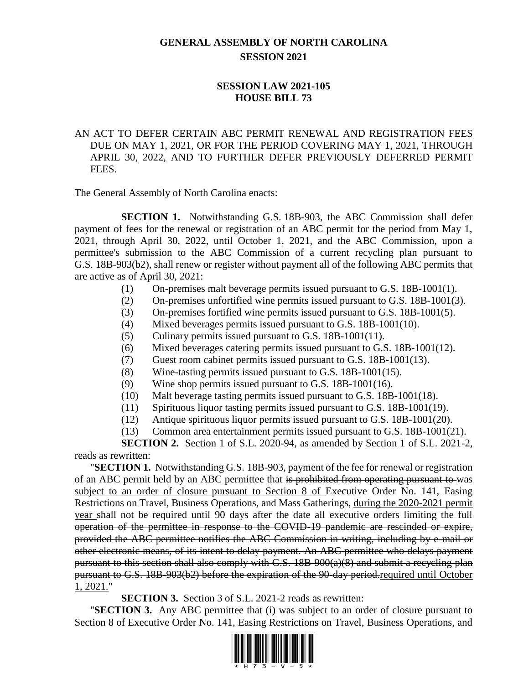## **GENERAL ASSEMBLY OF NORTH CAROLINA SESSION 2021**

## **SESSION LAW 2021-105 HOUSE BILL 73**

AN ACT TO DEFER CERTAIN ABC PERMIT RENEWAL AND REGISTRATION FEES DUE ON MAY 1, 2021, OR FOR THE PERIOD COVERING MAY 1, 2021, THROUGH APRIL 30, 2022, AND TO FURTHER DEFER PREVIOUSLY DEFERRED PERMIT FEES.

The General Assembly of North Carolina enacts:

**SECTION 1.** Notwithstanding G.S. 18B-903, the ABC Commission shall defer payment of fees for the renewal or registration of an ABC permit for the period from May 1, 2021, through April 30, 2022, until October 1, 2021, and the ABC Commission, upon a permittee's submission to the ABC Commission of a current recycling plan pursuant to G.S. 18B-903(b2), shall renew or register without payment all of the following ABC permits that are active as of April 30, 2021:

- (1) On-premises malt beverage permits issued pursuant to G.S. 18B-1001(1).
- (2) On-premises unfortified wine permits issued pursuant to G.S. 18B-1001(3).
- (3) On-premises fortified wine permits issued pursuant to G.S. 18B-1001(5).
- (4) Mixed beverages permits issued pursuant to G.S. 18B-1001(10).
- (5) Culinary permits issued pursuant to G.S. 18B-1001(11).
- (6) Mixed beverages catering permits issued pursuant to G.S. 18B-1001(12).
- (7) Guest room cabinet permits issued pursuant to G.S. 18B-1001(13).
- (8) Wine-tasting permits issued pursuant to G.S. 18B-1001(15).
- (9) Wine shop permits issued pursuant to G.S. 18B-1001(16).
- (10) Malt beverage tasting permits issued pursuant to G.S. 18B-1001(18).
- (11) Spirituous liquor tasting permits issued pursuant to G.S. 18B-1001(19).
- (12) Antique spirituous liquor permits issued pursuant to G.S. 18B-1001(20).
- (13) Common area entertainment permits issued pursuant to G.S. 18B-1001(21).

**SECTION 2.** Section 1 of S.L. 2020-94, as amended by Section 1 of S.L. 2021-2, reads as rewritten:

"**SECTION 1.** Notwithstanding G.S. 18B-903, payment of the fee for renewal or registration of an ABC permit held by an ABC permittee that is prohibited from operating pursuant to was subject to an order of closure pursuant to Section 8 of Executive Order No. 141, Easing Restrictions on Travel, Business Operations, and Mass Gatherings, during the 2020-2021 permit year shall not be required until 90 days after the date all executive orders limiting the full operation of the permittee in response to the COVID-19 pandemic are rescinded or expire, provided the ABC permittee notifies the ABC Commission in writing, including by e-mail or other electronic means, of its intent to delay payment. An ABC permittee who delays payment pursuant to this section shall also comply with G.S. 18B-900(a)(8) and submit a recycling plan pursuant to G.S. 18B-903(b2) before the expiration of the 90-day period.required until October 1, 2021."

**SECTION 3.** Section 3 of S.L. 2021-2 reads as rewritten:

"**SECTION 3.** Any ABC permittee that (i) was subject to an order of closure pursuant to Section 8 of Executive Order No. 141, Easing Restrictions on Travel, Business Operations, and